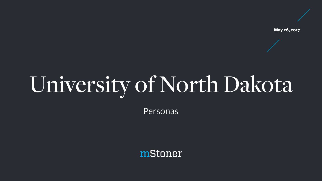

# University of North Dakota

Personas



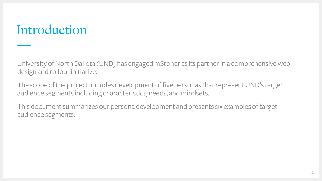### Introduction

University of North Dakota (UND) has engaged mStoner as its partner in a comprehensive web design and rollout initiative.

The scope of the project includes development of five personas that represent UND's target audience segments including characteristics, needs, and mindsets.

This document summarizes our persona development and presents six examples of target audience segments.

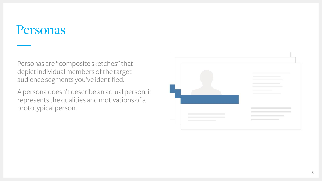### Personas

Personas are "composite sketches" that depict individual members of the target audience segments you've identified.

A persona doesn't describe an actual person, it represents the qualities and motivations of a prototypical person.





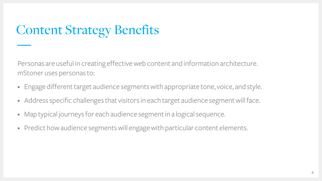## Content Strategy Benefits

Personas are useful in creating effective web content and information architecture. mStoner uses personas to:

- Engage different target audience segments with appropriate tone, voice, and style.
- Address specific challenges that visitors in each target audience segment will face.
- Map typical journeys for each audience segment in a logical sequence.
- Predict how audience segments will engage with particular content elements.

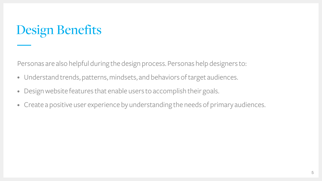Personas are also helpful during the design process. Personas help designers to:

- Understand trends, patterns, mindsets, and behaviors of target audiences.
- Design website features that enable users to accomplish their goals.
- Create a positive user experience by understanding the needs of primary audiences.

### Design Benefits

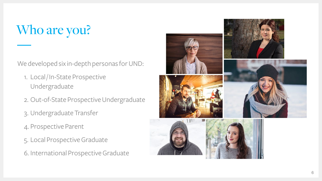## Who are you?

We developed six in-depth personas for UND:

- 1. Local / In-State Prospective Undergraduate
- 2. Out-of-State Prospective Undergraduate
- 3. Undergraduate Transfer
- 4. Prospective Parent
- 5. Local Prospective Graduate
- 6. International Prospective Graduate













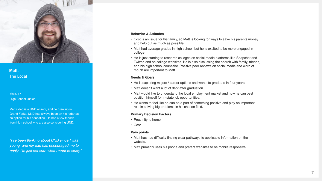

• Cost is an issue for his family, so Matt is looking for ways to save his parents money and help out as much as possible.

• Matt had average grades in high school, but he is excited to be more engaged in

- 
- college.
- 

• He is just starting to research colleges on social media platforms like Snapchat and Twitter, and on college websites. He is also discussing the search with family, friends, and his high school counselor. Positive peer reviews on social media and word of mouth are important to Matt.

#### **Needs & Goals**

- 
- 
- 
- 

• He is exploring majors / career options and wants to graduate in four years.

• Matt doesn't want a lot of debt after graduation.

• Matt would like to understand the local employment market and how he can best position himself for in-state job opportunities.

• He wants to feel like he can be a part of something positive and play an important role in solving big problems in his chosen field.

#### **Primary Decision Factors**

- Proximity to home
- Cost

#### **Pain points**

• Matt has had difficulty finding clear pathways to applicable information on the

- website.
- 

• Matt primarily uses his phone and prefers websites to be mobile responsive.

*"I've been thinking about UND since I was young, and my dad has encouraged me to apply. I'm just not sure what I want to study."*



#### **Matt,** The Local

Male, 17 High School Junior

Matt's dad is a UND alumni, and he grew up in Grand Forks. UND has always been on his radar as an option for his education. He has a few friends from high school who are also considering UND.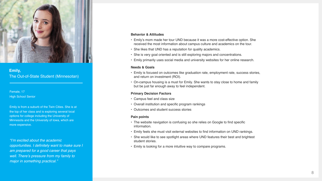

- 
- 
- 
- 

- 
- 

• Emily's mom made her tour UND because it was a more cost-effective option. She received the most information about campus culture and academics on the tour.

• She likes that UND has a reputation for quality academics.

• She is very goal oriented and is still exploring majors and concentrations.

• Emily primarily uses social media and university websites for her online research.

**Needs & Goals** • Emily is focused on outcomes like graduation rate, employment rate, success stories, and return on investment (ROI).

• On-campus housing is a must for Emily. She wants to stay close to home and family but be just far enough away to feel independent.

#### **Primary Decision Factors**

- 
- 
- 

• Campus feel and class size

• Overall institution and specific program rankings

• Outcomes and student success stories

#### **Pain points**

• The website navigation is confusing so she relies on Google to find specific

• Emily feels she must visit external websites to find information on UND rankings.

- information.
- 
- student stories .
- 

• She would like to see spotlight areas where UND features their best and brightest

• Emily is looking for a more intuitive way to compare programs .

*"I'm excited about the academic opportunities. I definitely want to make sure I am prepared for a good career that pays well. There's pressure from my family to major in something practical."*



**Emily,** The Out-of-State Student (Minnesotan)

Female, 17 High School Senior

Emily is from a suburb of the Twin Cities. She is at the top of her class and is exploring several local options for college including the University of Minnesota and the University of Iowa, which are more expensive.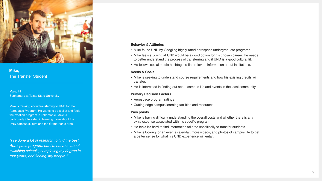

- 
- 
- 

• Mike found UND by Googling highly-rated aerospace undergraduate programs. • Mike feels studying at UND would be a good option for his chosen career. He needs to better understand the process of transferring and if UND is a good cultural fit.

• He follows social media hashtags to find relevant information about institutions.

#### **Needs & Goals**

• Mike is seeking to understand course requirements and how his existing credits will

- transfer.
- 

• He is interested in finding out about campus life and events in the local community.

#### **Primary Decision Factors**

• Aerospace program ratings

- 
- Cutting edge campus learning facilities and resources

#### **Pain points**

- 
- 
- 

• Mike is having difficulty understanding the overall costs and whether there is any extra expense associated with his specific program.

• He feels it's hard to find information tailored specifically to transfer students.

• Mike is looking for an events calendar, more videos, and photos of campus life to get a better sense for what his UND experience will entail.

*"I've done a lot of research to find the best Aerospace program, but I'm nervous about switching schools, completing my degree in four years, and finding 'my people.'"*



### **Mike,** The Transfer Student

Male, 19 Sophomore at Texas State University

Mike is thinking about transferring to UND for the Aerospace Program. He wants to be a pilot and feels the aviation program is unbeatable. Mike is particularly interested in learning more about the UND campus culture and the Grand Forks area.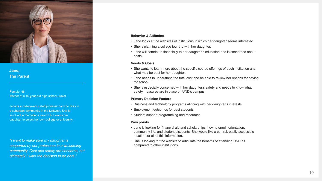

• Jane looks at the websites of institutions in which her daughter seems interested.

• She is planning a college tour trip with her daughter.

• Jane will contribute financially to her daughter's education and is concerned about

- 
- 
- costs.

#### **Needs & Goals**

• She wants to learn more about the specific course offerings of each institution and what may be best for her daughter.

• Jane needs to understand the total cost and be able to review her options for paying

- 
- for school.
- 

• She is especially concerned with her daughter's safety and needs to know what safety measures are in place on UND's campus.

#### **Primary Decision Factors**

- 
- 
- 

• Business and technology programs aligning with her daughter's interests

• Employment outcomes for past students

• Student support programming and resources

#### **Pain points**

- 
- 

• Jane is looking for financial aid and scholarships, how to enroll, orientation, community life, and student discounts. She would like a central, easily accessible location for all of this information.

• She is looking for the website to articulate the benefits of attending UND as compared to other institutions.

*"I want to make sure my daughter is supported by her professors in a welcoming community. Cost and safety are concerns, but ultimately I want the decision to be hers."*



### **Jane,** The Parent

Female, 48 Mother of a 16-year-old high school Junior

Jane is a college-educated professional who lives in a suburban community in the Midwest. She is involved in the college search but wants her daughter to select her own college or university.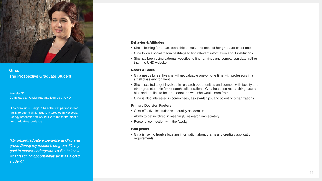

• She is looking for an assistantship to make the most of her graduate experience.

• Gina follows social media hashtags to find relevant information about institutions.

• She has been using external websites to find rankings and comparison data, rather

- 
- 
- than the UND website.

#### **Needs & Goals**

- 
- 
- 

• Gina needs to feel like she will get valuable one-on-one time with professors in a small class environment.

• She is excited to get involved in research opportunities and connect with faculty and other grad students for research collaborations. Gina has been researching faculty bios and profiles to better understand who she would learn from.

• Gina is also interested in committees, assistantships, and scientific organizations.

#### **Primary Decision Factors**

- 
- 
- 

• Cost-effective institution with quality academics

• Ability to get involved in meaningful research immediately

• Personal connection with the faculty

#### **Pain points**

• Gina is having trouble locating information about grants and credits / application

requirements. *"My undergraduate experience at UND was great. During my master's program, it's my goal to mentor undergrads. I'd like to know what teaching opportunities exist as a grad student."*



### **Gina,** The Prospective Graduate Student

Female, 22 Completed an Undergraduate Degree at UND

Gina grew up in Fargo. She's the first person in her family to attend UND. She is interested in Molecular Biology research and would like to make the most of her graduate experience.